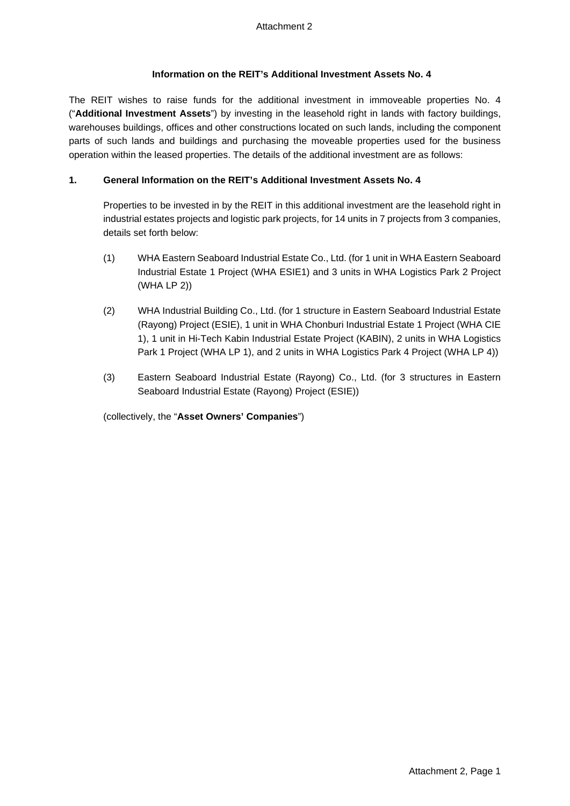## **Information on the REIT's Additional Investment Assets No. 4**

The REIT wishes to raise funds for the additional investment in immoveable properties No. 4 ("**Additional Investment Assets**") by investing in the leasehold right in lands with factory buildings, warehouses buildings, offices and other constructions located on such lands, including the component parts of such lands and buildings and purchasing the moveable properties used for the business operation within the leased properties. The details of the additional investment are as follows:

## **1. General Information on the REIT's Additional Investment Assets No. 4**

Properties to be invested in by the REIT in this additional investment are the leasehold right in industrial estates projects and logistic park projects, for 14 units in 7 projects from 3 companies, details set forth below:

- (1) WHA Eastern Seaboard Industrial Estate Co., Ltd. (for 1 unit in WHA Eastern Seaboard Industrial Estate 1 Project (WHA ESIE1) and 3 units in WHA Logistics Park 2 Project (WHA LP 2))
- (2) WHA Industrial Building Co., Ltd. (for 1 structure in Eastern Seaboard Industrial Estate (Rayong) Project (ESIE), 1 unit in WHA Chonburi Industrial Estate 1 Project (WHA CIE 1), 1 unit in Hi-Tech Kabin Industrial Estate Project (KABIN), 2 units in WHA Logistics Park 1 Project (WHA LP 1), and 2 units in WHA Logistics Park 4 Project (WHA LP 4))
- (3) Eastern Seaboard Industrial Estate (Rayong) Co., Ltd. (for 3 structures in Eastern Seaboard Industrial Estate (Rayong) Project (ESIE))

(collectively, the "**Asset Owners' Companies**")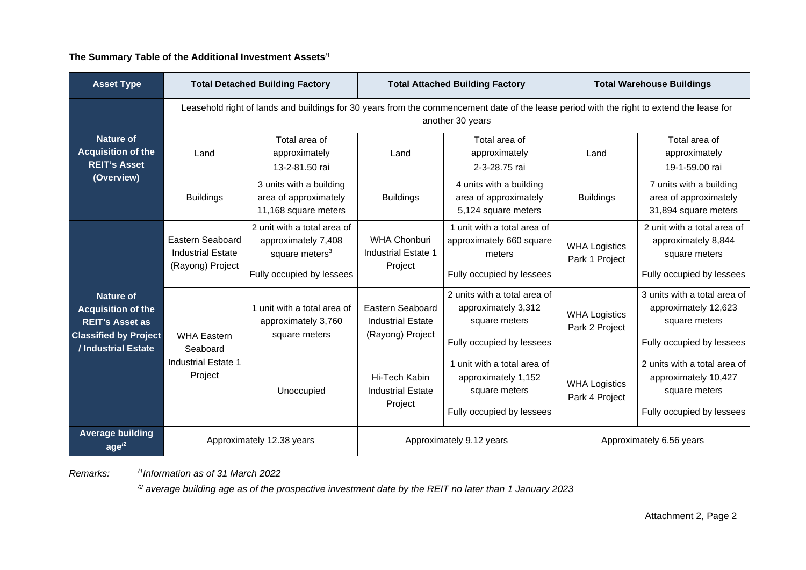**The Summary Table of the Additional Investment Assets**/1

| <b>Asset Type</b>                                                                  |                                                                                                                                                               | <b>Total Detached Building Factory</b>                                           | <b>Total Attached Building Factory</b>            | <b>Total Warehouse Buildings</b>                                        |                                        |                                                                          |  |  |  |
|------------------------------------------------------------------------------------|---------------------------------------------------------------------------------------------------------------------------------------------------------------|----------------------------------------------------------------------------------|---------------------------------------------------|-------------------------------------------------------------------------|----------------------------------------|--------------------------------------------------------------------------|--|--|--|
|                                                                                    | Leasehold right of lands and buildings for 30 years from the commencement date of the lease period with the right to extend the lease for<br>another 30 years |                                                                                  |                                                   |                                                                         |                                        |                                                                          |  |  |  |
| <b>Nature of</b><br><b>Acquisition of the</b><br><b>REIT's Asset</b><br>(Overview) | Land                                                                                                                                                          | Total area of<br>approximately<br>13-2-81.50 rai                                 | Land                                              | Total area of<br>approximately<br>2-3-28.75 rai                         | Land                                   | Total area of<br>approximately<br>19-1-59.00 rai                         |  |  |  |
|                                                                                    | <b>Buildings</b>                                                                                                                                              | 3 units with a building<br>area of approximately<br>11,168 square meters         | <b>Buildings</b>                                  | 4 units with a building<br>area of approximately<br>5,124 square meters | <b>Buildings</b>                       | 7 units with a building<br>area of approximately<br>31,894 square meters |  |  |  |
|                                                                                    | Eastern Seaboard<br><b>Industrial Estate</b>                                                                                                                  | 2 unit with a total area of<br>approximately 7,408<br>square meters <sup>3</sup> | <b>WHA Chonburi</b><br><b>Industrial Estate 1</b> | 1 unit with a total area of<br>approximately 660 square<br>meters       | <b>WHA Logistics</b><br>Park 1 Project | 2 unit with a total area of<br>approximately 8,844<br>square meters      |  |  |  |
|                                                                                    | (Rayong) Project                                                                                                                                              | Fully occupied by lessees                                                        | Project                                           | Fully occupied by lessees                                               |                                        | Fully occupied by lessees                                                |  |  |  |
| Nature of<br><b>Acquisition of the</b><br><b>REIT's Asset as</b>                   |                                                                                                                                                               | 1 unit with a total area of<br>approximately 3,760                               | Eastern Seaboard<br><b>Industrial Estate</b>      | 2 units with a total area of<br>approximately 3,312<br>square meters    | <b>WHA Logistics</b><br>Park 2 Project | 3 units with a total area of<br>approximately 12,623<br>square meters    |  |  |  |
| <b>Classified by Project</b><br>/ Industrial Estate                                | <b>WHA Eastern</b><br>Seaboard                                                                                                                                | square meters                                                                    | (Rayong) Project                                  | Fully occupied by lessees                                               |                                        | Fully occupied by lessees                                                |  |  |  |
|                                                                                    | Industrial Estate 1<br>Project                                                                                                                                | Unoccupied                                                                       | Hi-Tech Kabin<br><b>Industrial Estate</b>         | 1 unit with a total area of<br>approximately 1,152<br>square meters     | <b>WHA Logistics</b><br>Park 4 Project | 2 units with a total area of<br>approximately 10,427<br>square meters    |  |  |  |
|                                                                                    |                                                                                                                                                               |                                                                                  | Project                                           | Fully occupied by lessees                                               |                                        | Fully occupied by lessees                                                |  |  |  |
| <b>Average building</b><br>age <sup>2</sup>                                        |                                                                                                                                                               | Approximately 12.38 years                                                        |                                                   | Approximately 9.12 years                                                | Approximately 6.56 years               |                                                                          |  |  |  |

*Remarks: /1Information as of 31 March 2022*

*/2 average building age as of the prospective investment date by the REIT no later than 1 January 2023*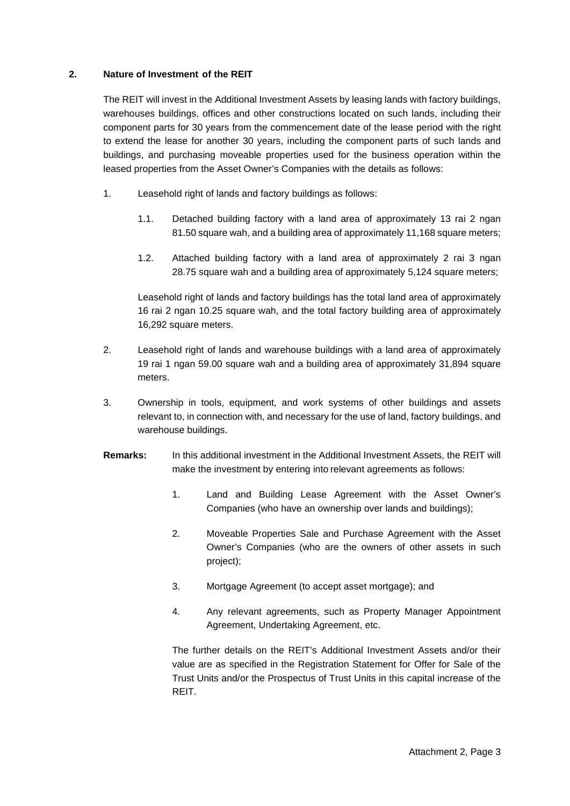## **2. Nature of Investment of the REIT**

The REIT will invest in the Additional Investment Assets by leasing lands with factory buildings, warehouses buildings, offices and other constructions located on such lands, including their component parts for 30 years from the commencement date of the lease period with the right to extend the lease for another 30 years, including the component parts of such lands and buildings, and purchasing moveable properties used for the business operation within the leased properties from the Asset Owner's Companies with the details as follows:

- 1. Leasehold right of lands and factory buildings as follows:
	- 1.1. Detached building factory with a land area of approximately 13 rai 2 ngan 81.50 square wah, and a building area of approximately 11,168 square meters;
	- 1.2. Attached building factory with a land area of approximately 2 rai 3 ngan 28.75 square wah and a building area of approximately 5,124 square meters;

Leasehold right of lands and factory buildings has the total land area of approximately 16 rai 2 ngan 10.25 square wah, and the total factory building area of approximately 16,292 square meters.

- 2. Leasehold right of lands and warehouse buildings with a land area of approximately 19 rai 1 ngan 59.00 square wah and a building area of approximately 31,894 square meters.
- 3. Ownership in tools, equipment, and work systems of other buildings and assets relevant to, in connection with, and necessary for the use of land, factory buildings, and warehouse buildings.
- **Remarks:** In this additional investment in the Additional Investment Assets, the REIT will make the investment by entering into relevant agreements as follows:
	- 1. Land and Building Lease Agreement with the Asset Owner's Companies (who have an ownership over lands and buildings);
	- 2. Moveable Properties Sale and Purchase Agreement with the Asset Owner's Companies (who are the owners of other assets in such project);
	- 3. Mortgage Agreement (to accept asset mortgage); and
	- 4. Any relevant agreements, such as Property Manager Appointment Agreement, Undertaking Agreement, etc.

The further details on the REIT's Additional Investment Assets and/or their value are as specified in the Registration Statement for Offer for Sale of the Trust Units and/or the Prospectus of Trust Units in this capital increase of the REIT.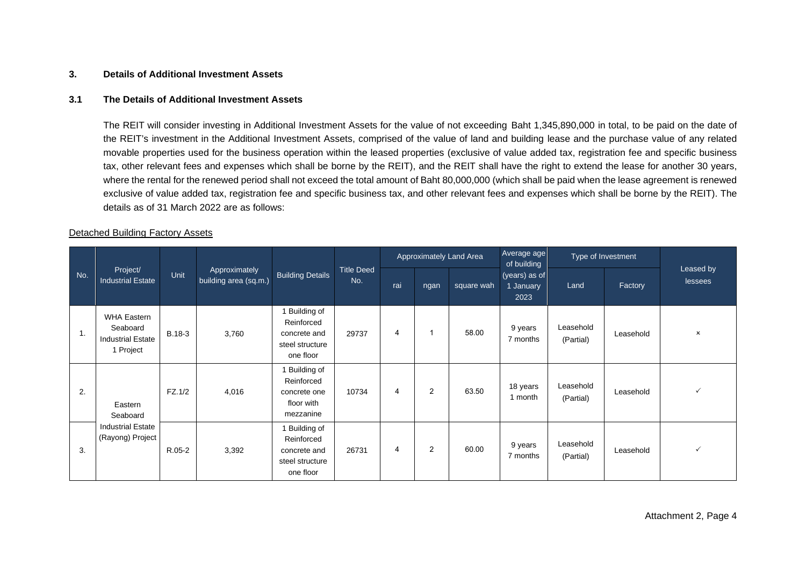#### **3. Details of Additional Investment Assets**

#### **3.1 The Details of Additional Investment Assets**

The REIT will consider investing in Additional Investment Assets for the value of not exceeding Baht 1,345,890,000 in total, to be paid on the date of the REIT's investment in the Additional Investment Assets, comprised of the value of land and building lease and the purchase value of any related movable properties used for the business operation within the leased properties (exclusive of value added tax, registration fee and specific business tax, other relevant fees and expenses which shall be borne by the REIT), and the REIT shall have the right to extend the lease for another 30 years, where the rental for the renewed period shall not exceed the total amount of Baht 80,000,000 (which shall be paid when the lease agreement is renewed exclusive of value added tax, registration fee and specific business tax, and other relevant fees and expenses which shall be borne by the REIT). The details as of 31 March 2022 are as follows:

#### Detached Building Factory Assets

|                |                                                                         |        |                                        |                                                                             | Approximately Land Area  |     |      | Average age<br>of building | Type of Investment                 |                        |           |                           |
|----------------|-------------------------------------------------------------------------|--------|----------------------------------------|-----------------------------------------------------------------------------|--------------------------|-----|------|----------------------------|------------------------------------|------------------------|-----------|---------------------------|
| No.            | Project/<br><b>Industrial Estate</b>                                    | Unit   | Approximately<br>building area (sq.m.) | <b>Building Details</b>                                                     | <b>Title Deed</b><br>No. | rai | ngan | square wah                 | (years) as of<br>1 January<br>2023 | Land                   | Factory   | Leased by<br>lessees      |
| $\mathbf{1}$ . | <b>WHA Eastern</b><br>Seaboard<br><b>Industrial Estate</b><br>1 Project | B.18-3 | 3,760                                  | 1 Building of<br>Reinforced<br>concrete and<br>steel structure<br>one floor | 29737                    | 4   |      | 58.00                      | 9 years<br>7 months                | Leasehold<br>(Partial) | Leasehold | $\boldsymbol{\mathsf{x}}$ |
| 2.             | Eastern<br>Seaboard                                                     | FZ.1/2 | 4,016                                  | 1 Building of<br>Reinforced<br>concrete one<br>floor with<br>mezzanine      | 10734                    | 4   | 2    | 63.50                      | 18 years<br>1 month                | Leasehold<br>(Partial) | Leasehold | $\checkmark$              |
| 3.             | <b>Industrial Estate</b><br>(Rayong) Project                            | R.05-2 | 3,392                                  | 1 Building of<br>Reinforced<br>concrete and<br>steel structure<br>one floor | 26731                    | 4   | 2    | 60.00                      | 9 years<br>7 months                | Leasehold<br>(Partial) | Leasehold | $\checkmark$              |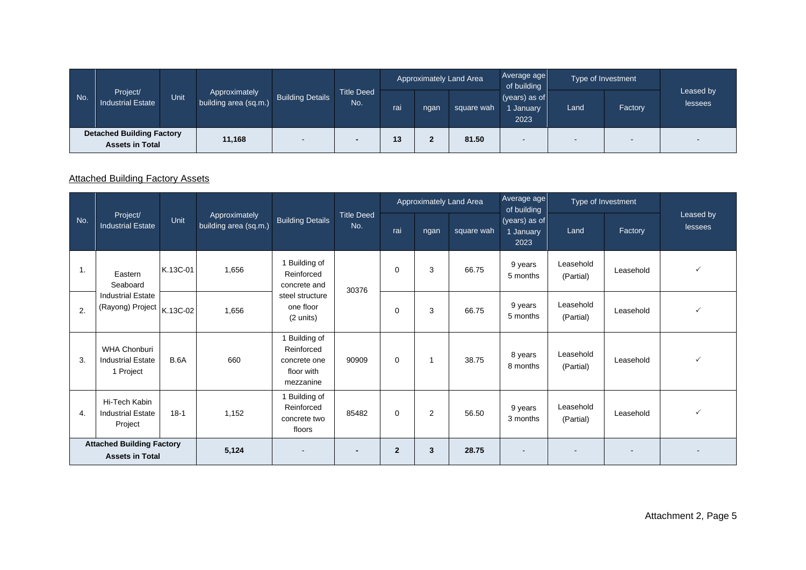| No. | Project/<br><b>Industrial Estate</b>                       | Unit. | Approximately<br>building area (sq.m.) | <b>Building Details</b> | <b>Title Deed</b><br>No. | Approximately Land Area |        |            | Average age<br>of building         |      | Type of Investment |                          |
|-----|------------------------------------------------------------|-------|----------------------------------------|-------------------------|--------------------------|-------------------------|--------|------------|------------------------------------|------|--------------------|--------------------------|
|     |                                                            |       |                                        |                         |                          | rai                     | ngan   | square wah | $(years)$ as of<br>January<br>2023 | Land | Factory            | Leased by<br>lessees     |
|     | <b>Detached Building Factory</b><br><b>Assets in Total</b> |       | 11,168                                 |                         |                          | 13                      | 灬<br>◢ | 81.50      |                                    |      |                    | $\overline{\phantom{0}}$ |

# Attached Building Factory Assets

|     |                                                              |             |                                        |                                                                        |                          |                |      | Approximately Land Area | Average age<br>of building         |                        | Type of Investment |                      |
|-----|--------------------------------------------------------------|-------------|----------------------------------------|------------------------------------------------------------------------|--------------------------|----------------|------|-------------------------|------------------------------------|------------------------|--------------------|----------------------|
| No. | Project/<br><b>Industrial Estate</b>                         | Unit        | Approximately<br>building area (sq.m.) | <b>Building Details</b>                                                | <b>Title Deed</b><br>No. | rai            | ngan | square wah              | (years) as of<br>1 January<br>2023 | Land                   | Factory            | Leased by<br>lessees |
| 1.  | Eastern<br>Seaboard                                          | K.13C-01    | 1,656                                  | 1 Building of<br>Reinforced<br>concrete and                            | 30376                    | $\mathbf 0$    | 3    | 66.75                   | 9 years<br>5 months                | Leasehold<br>(Partial) | Leasehold          | $\checkmark$         |
| 2.  | <b>Industrial Estate</b><br>(Rayong) Project                 | K.13C-02    | 1,656                                  | steel structure<br>one floor<br>(2 units)                              |                          | $\Omega$       | 3    | 66.75                   | 9 years<br>5 months                | Leasehold<br>(Partial) | Leasehold          | $\checkmark$         |
| 3.  | <b>WHA Chonburi</b><br><b>Industrial Estate</b><br>1 Project | <b>B.6A</b> | 660                                    | 1 Building of<br>Reinforced<br>concrete one<br>floor with<br>mezzanine | 90909                    | $\Omega$       | 1    | 38.75                   | 8 years<br>8 months                | Leasehold<br>(Partial) | Leasehold          | $\checkmark$         |
| 4.  | Hi-Tech Kabin<br><b>Industrial Estate</b><br>Project         | $18-1$      | 1,152                                  | 1 Building of<br>Reinforced<br>concrete two<br>floors                  | 85482                    | $\Omega$       | 2    | 56.50                   | 9 years<br>3 months                | Leasehold<br>(Partial) | Leasehold          | $\checkmark$         |
|     | <b>Attached Building Factory</b><br><b>Assets in Total</b>   |             | 5,124                                  |                                                                        |                          | $\overline{2}$ | 3    | 28.75                   |                                    |                        |                    |                      |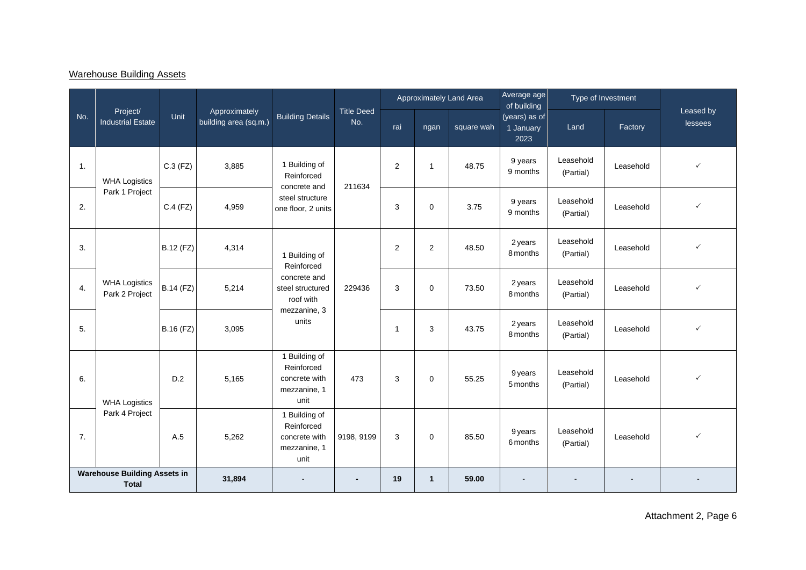# Warehouse Building Assets

|                |                                                     |                  |                                        |                                                                      |                          |                         |              | Approximately Land Area | Average age<br>of building         |                        | Type of Investment |                      |
|----------------|-----------------------------------------------------|------------------|----------------------------------------|----------------------------------------------------------------------|--------------------------|-------------------------|--------------|-------------------------|------------------------------------|------------------------|--------------------|----------------------|
| No.            | Project/<br><b>Industrial Estate</b>                | Unit             | Approximately<br>building area (sq.m.) | <b>Building Details</b>                                              | <b>Title Deed</b><br>No. | rai                     | ngan         | square wah              | (years) as of<br>1 January<br>2023 | Land                   | Factory            | Leased by<br>lessees |
| $\mathbf{1}$ . | <b>WHA Logistics</b>                                | $C.3$ (FZ)       | 3,885                                  | 1 Building of<br>Reinforced<br>concrete and                          | 211634                   | $\overline{2}$          | $\mathbf{1}$ | 48.75                   | 9 years<br>9 months                | Leasehold<br>(Partial) | Leasehold          | $\checkmark$         |
| 2.             | Park 1 Project                                      | $C.4$ (FZ)       | 4,959                                  | steel structure<br>one floor, 2 units                                |                          | 3                       | $\mathbf 0$  | 3.75                    | 9 years<br>9 months                | Leasehold<br>(Partial) | Leasehold          | $\checkmark$         |
| 3.             |                                                     | B.12 (FZ)        | 4,314                                  | 1 Building of<br>Reinforced                                          |                          | $\overline{2}$          | 2            | 48.50                   | 2 years<br>8 months                | Leasehold<br>(Partial) | Leasehold          | $\checkmark$         |
| 4.             | <b>WHA Logistics</b><br>Park 2 Project              | <b>B.14 (FZ)</b> | 5,214                                  | concrete and<br>steel structured<br>roof with                        | 229436                   | 3                       | $\Omega$     | 73.50                   | 2 years<br>8 months                | Leasehold<br>(Partial) | Leasehold          | $\checkmark$         |
| 5.             |                                                     | B.16 (FZ)        | 3,095                                  | mezzanine, 3<br>units                                                |                          | $\overline{\mathbf{1}}$ | 3            | 43.75                   | 2 years<br>8 months                | Leasehold<br>(Partial) | Leasehold          | $\checkmark$         |
| 6.             | <b>WHA Logistics</b>                                | D.2              | 5,165                                  | 1 Building of<br>Reinforced<br>concrete with<br>mezzanine, 1<br>unit | 473                      | 3                       | $\mathbf 0$  | 55.25                   | 9 years<br>5 months                | Leasehold<br>(Partial) | Leasehold          | $\checkmark$         |
| 7.             | Park 4 Project                                      | A.5              | 5,262                                  | 1 Building of<br>Reinforced<br>concrete with<br>mezzanine, 1<br>unit | 9198, 9199               | 3                       | $\mathbf 0$  | 85.50                   | 9 years<br>6 months                | Leasehold<br>(Partial) | Leasehold          | $\checkmark$         |
|                | <b>Warehouse Building Assets in</b><br><b>Total</b> |                  | 31,894                                 |                                                                      |                          | 19                      | $\mathbf{1}$ | 59.00                   |                                    |                        |                    |                      |

Attachment 2, Page 6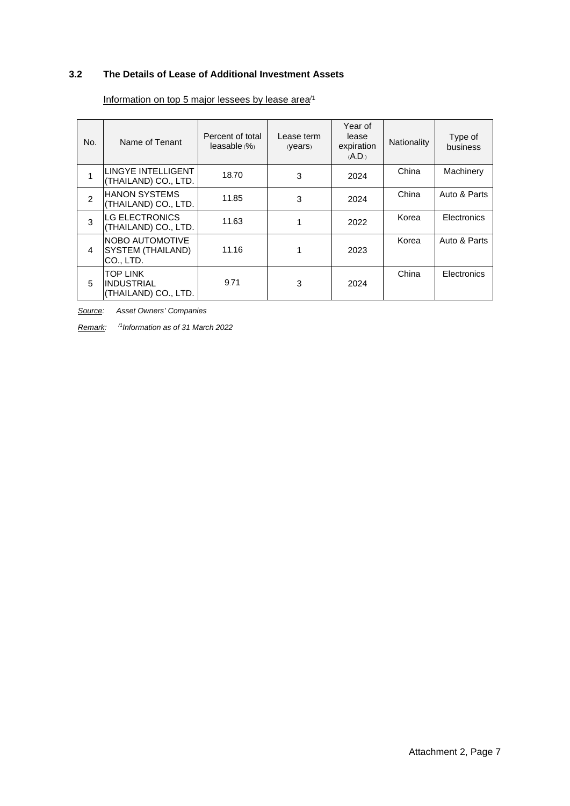# **3.2 The Details of Lease of Additional Investment Assets**

| No.           | Name of Tenant                                           | Percent of total<br>leasable (%) | Lease term<br>(Years) | Year of<br>lease<br>expiration<br>(A.D.) | Nationality | Type of<br>business |
|---------------|----------------------------------------------------------|----------------------------------|-----------------------|------------------------------------------|-------------|---------------------|
|               | LINGYE INTELLIGENT<br>(THAILAND) CO., LTD.               | 18.70                            | 3                     | 2024                                     | China       | Machinery           |
| $\mathcal{P}$ | <b>HANON SYSTEMS</b><br>(THAILAND) CO., LTD.             | 11.85                            | 3                     | 2024                                     | China       | Auto & Parts        |
| 3             | <b>LG ELECTRONICS</b><br>(THAILAND) CO., LTD.            | 11.63                            |                       | 2022                                     | Korea       | Electronics         |
| 4             | NOBO AUTOMOTIVE<br><b>SYSTEM (THAILAND)</b><br>CO., LTD. | 11.16                            | 1                     | 2023                                     | Korea       | Auto & Parts        |
| 5             | <b>TOP LINK</b><br>IINDUSTRIAL<br>(THAILAND) CO., LTD.   | 9.71                             | 3                     | 2024                                     | China       | Electronics         |

## Information on top 5 major lessees by lease area<sup>/1</sup>

*Source: Asset Owners' Companies*

*Remark: /1 Information as of 31 March 2022*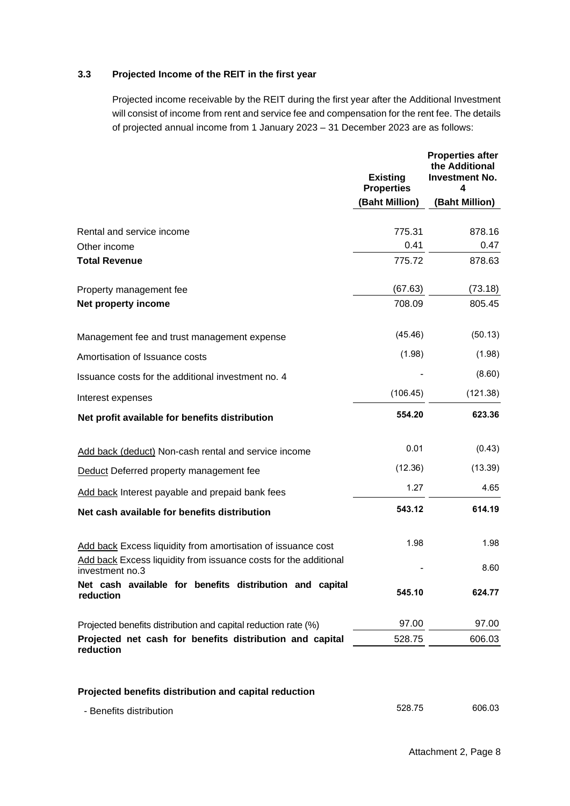# **3.3 Projected Income of the REIT in the first year**

Projected income receivable by the REIT during the first year after the Additional Investment will consist of income from rent and service fee and compensation for the rent fee. The details of projected annual income from 1 January 2023 – 31 December 2023 are as follows:

|                                                                                     | <b>Existing</b><br><b>Properties</b> | <b>Properties after</b><br>the Additional<br><b>Investment No.</b><br>4 |
|-------------------------------------------------------------------------------------|--------------------------------------|-------------------------------------------------------------------------|
|                                                                                     | (Baht Million)                       | (Baht Million)                                                          |
| Rental and service income                                                           | 775.31                               | 878.16                                                                  |
| Other income                                                                        | 0.41                                 | 0.47                                                                    |
| <b>Total Revenue</b>                                                                | 775.72                               | 878.63                                                                  |
| Property management fee                                                             | (67.63)                              | (73.18)                                                                 |
| Net property income                                                                 | 708.09                               | 805.45                                                                  |
| Management fee and trust management expense                                         | (45.46)                              | (50.13)                                                                 |
| Amortisation of Issuance costs                                                      | (1.98)                               | (1.98)                                                                  |
| Issuance costs for the additional investment no. 4                                  |                                      | (8.60)                                                                  |
| Interest expenses                                                                   | (106.45)                             | (121.38)                                                                |
| Net profit available for benefits distribution                                      | 554.20                               | 623.36                                                                  |
| Add back (deduct) Non-cash rental and service income                                | 0.01                                 | (0.43)                                                                  |
| Deduct Deferred property management fee                                             | (12.36)                              | (13.39)                                                                 |
| Add back Interest payable and prepaid bank fees                                     | 1.27                                 | 4.65                                                                    |
| Net cash available for benefits distribution                                        | 543.12                               | 614.19                                                                  |
| Add back Excess liquidity from amortisation of issuance cost                        | 1.98                                 | 1.98                                                                    |
| Add back Excess liquidity from issuance costs for the additional<br>investment no.3 |                                      | 8.60                                                                    |
| Net cash available for benefits distribution and capital<br>reduction               | 545.10                               | 624.77                                                                  |
| Projected benefits distribution and capital reduction rate (%)                      | 97.00                                | 97.00                                                                   |
| Projected net cash for benefits distribution and capital<br>reduction               | 528.75                               | 606.03                                                                  |
| Projected benefits distribution and capital reduction                               |                                      |                                                                         |
| - Benefits distribution                                                             | 528.75                               | 606.03                                                                  |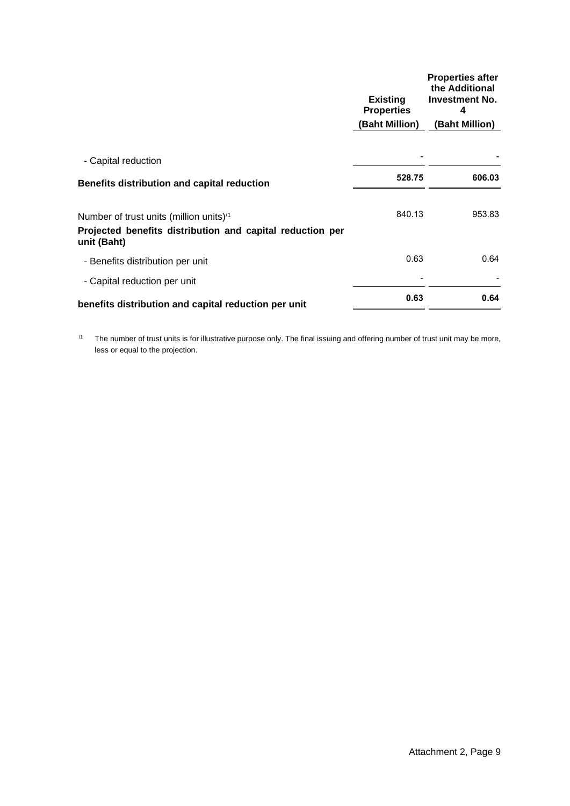|                                                                                                                         | <b>Existing</b><br><b>Properties</b><br>(Baht Million) | <b>Properties after</b><br>the Additional<br><b>Investment No.</b><br>4<br>(Baht Million) |
|-------------------------------------------------------------------------------------------------------------------------|--------------------------------------------------------|-------------------------------------------------------------------------------------------|
| - Capital reduction                                                                                                     |                                                        |                                                                                           |
| Benefits distribution and capital reduction                                                                             | 528.75                                                 | 606.03                                                                                    |
| Number of trust units (million units) $1/1$<br>Projected benefits distribution and capital reduction per<br>unit (Baht) | 840.13                                                 | 953.83                                                                                    |
| - Benefits distribution per unit                                                                                        | 0.63                                                   | 0.64                                                                                      |
| - Capital reduction per unit                                                                                            |                                                        |                                                                                           |
| benefits distribution and capital reduction per unit                                                                    | 0.63                                                   | 0.64                                                                                      |
|                                                                                                                         |                                                        |                                                                                           |

 $/1$  The number of trust units is for illustrative purpose only. The final issuing and offering number of trust unit may be more, less or equal to the projection.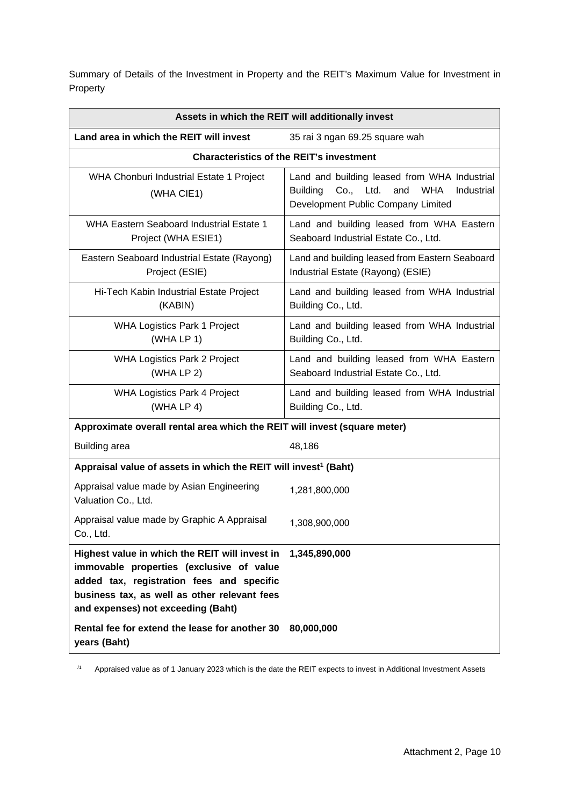Summary of Details of the Investment in Property and the REIT's Maximum Value for Investment in Property

|                                                                                                                                                                                                                               | Assets in which the REIT will additionally invest                                                                                                     |
|-------------------------------------------------------------------------------------------------------------------------------------------------------------------------------------------------------------------------------|-------------------------------------------------------------------------------------------------------------------------------------------------------|
| Land area in which the REIT will invest                                                                                                                                                                                       | 35 rai 3 ngan 69.25 square wah                                                                                                                        |
|                                                                                                                                                                                                                               | <b>Characteristics of the REIT's investment</b>                                                                                                       |
| WHA Chonburi Industrial Estate 1 Project<br>(WHA CIE1)                                                                                                                                                                        | Land and building leased from WHA Industrial<br>Co., Ltd.<br><b>WHA</b><br><b>Building</b><br>and<br>Industrial<br>Development Public Company Limited |
| <b>WHA Eastern Seaboard Industrial Estate 1</b><br>Project (WHA ESIE1)                                                                                                                                                        | Land and building leased from WHA Eastern<br>Seaboard Industrial Estate Co., Ltd.                                                                     |
| Eastern Seaboard Industrial Estate (Rayong)<br>Project (ESIE)                                                                                                                                                                 | Land and building leased from Eastern Seaboard<br>Industrial Estate (Rayong) (ESIE)                                                                   |
| Hi-Tech Kabin Industrial Estate Project<br>(KABIN)                                                                                                                                                                            | Land and building leased from WHA Industrial<br>Building Co., Ltd.                                                                                    |
| <b>WHA Logistics Park 1 Project</b><br>(WHA LP 1)                                                                                                                                                                             | Land and building leased from WHA Industrial<br>Building Co., Ltd.                                                                                    |
| <b>WHA Logistics Park 2 Project</b><br>(WHA LP 2)                                                                                                                                                                             | Land and building leased from WHA Eastern<br>Seaboard Industrial Estate Co., Ltd.                                                                     |
| <b>WHA Logistics Park 4 Project</b><br>(WHA LP 4)                                                                                                                                                                             | Land and building leased from WHA Industrial<br>Building Co., Ltd.                                                                                    |
| Approximate overall rental area which the REIT will invest (square meter)                                                                                                                                                     |                                                                                                                                                       |
| <b>Building area</b>                                                                                                                                                                                                          | 48,186                                                                                                                                                |
| Appraisal value of assets in which the REIT will invest <sup>1</sup> (Baht)                                                                                                                                                   |                                                                                                                                                       |
| Appraisal value made by Asian Engineering<br>Valuation Co., Ltd.                                                                                                                                                              | 1,281,800,000                                                                                                                                         |
| Appraisal value made by Graphic A Appraisal<br>Co., Ltd.                                                                                                                                                                      | 1,308,900,000                                                                                                                                         |
| Highest value in which the REIT will invest in<br>immovable properties (exclusive of value<br>added tax, registration fees and specific<br>business tax, as well as other relevant fees<br>and expenses) not exceeding (Baht) | 1,345,890,000                                                                                                                                         |
| Rental fee for extend the lease for another 30<br>years (Baht)                                                                                                                                                                | 80,000,000                                                                                                                                            |

<sup>11</sup> Appraised value as of 1 January 2023 which is the date the REIT expects to invest in Additional Investment Assets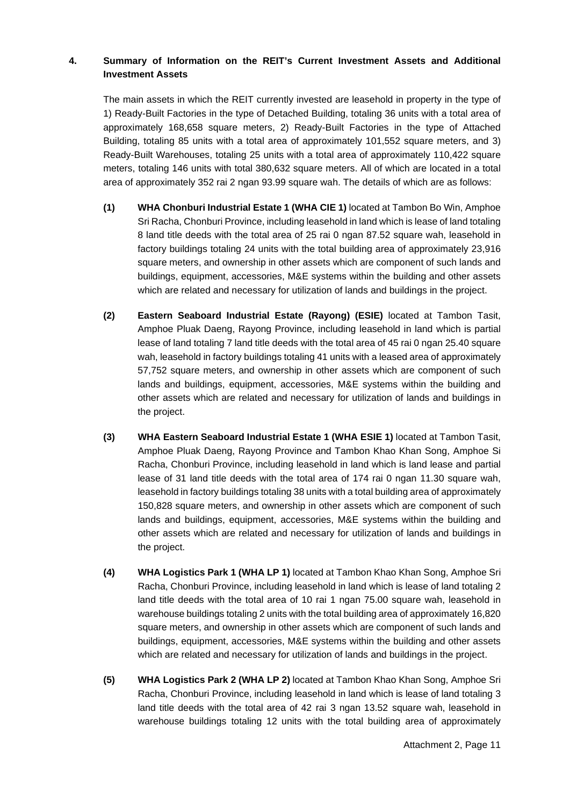# **4. Summary of Information on the REIT's Current Investment Assets and Additional Investment Assets**

The main assets in which the REIT currently invested are leasehold in property in the type of 1) Ready-Built Factories in the type of Detached Building, totaling 36 units with a total area of approximately 168,658 square meters, 2) Ready-Built Factories in the type of Attached Building, totaling 85 units with a total area of approximately 101,552 square meters, and 3) Ready-Built Warehouses, totaling 25 units with a total area of approximately 110,422 square meters, totaling 146 units with total 380,632 square meters. All of which are located in a total area of approximately 352 rai 2 ngan 93.99 square wah. The details of which are as follows:

- **(1) WHA Chonburi Industrial Estate 1 (WHA CIE 1)** located at Tambon Bo Win, Amphoe Sri Racha, Chonburi Province, including leasehold in land which is lease of land totaling 8 land title deeds with the total area of 25 rai 0 ngan 87.52 square wah, leasehold in factory buildings totaling 24 units with the total building area of approximately 23,916 square meters, and ownership in other assets which are component of such lands and buildings, equipment, accessories, M&E systems within the building and other assets which are related and necessary for utilization of lands and buildings in the project.
- **(2) Eastern Seaboard Industrial Estate (Rayong) (ESIE)** located at Tambon Tasit, Amphoe Pluak Daeng, Rayong Province, including leasehold in land which is partial lease of land totaling 7 land title deeds with the total area of 45 rai 0 ngan 25.40 square wah, leasehold in factory buildings totaling 41 units with a leased area of approximately 57,752 square meters, and ownership in other assets which are component of such lands and buildings, equipment, accessories, M&E systems within the building and other assets which are related and necessary for utilization of lands and buildings in the project.
- **(3) WHA Eastern Seaboard Industrial Estate 1 (WHA ESIE 1)** located at Tambon Tasit, Amphoe Pluak Daeng, Rayong Province and Tambon Khao Khan Song, Amphoe Si Racha, Chonburi Province, including leasehold in land which is land lease and partial lease of 31 land title deeds with the total area of 174 rai 0 ngan 11.30 square wah, leasehold in factory buildings totaling 38 units with a total building area of approximately 150,828 square meters, and ownership in other assets which are component of such lands and buildings, equipment, accessories, M&E systems within the building and other assets which are related and necessary for utilization of lands and buildings in the project.
- **(4) WHA Logistics Park 1 (WHA LP 1)** located at Tambon Khao Khan Song, Amphoe Sri Racha, Chonburi Province, including leasehold in land which is lease of land totaling 2 land title deeds with the total area of 10 rai 1 ngan 75.00 square wah, leasehold in warehouse buildings totaling 2 units with the total building area of approximately 16,820 square meters, and ownership in other assets which are component of such lands and buildings, equipment, accessories, M&E systems within the building and other assets which are related and necessary for utilization of lands and buildings in the project.
- **(5) WHA Logistics Park 2 (WHA LP 2)** located at Tambon Khao Khan Song, Amphoe Sri Racha, Chonburi Province, including leasehold in land which is lease of land totaling 3 land title deeds with the total area of 42 rai 3 ngan 13.52 square wah, leasehold in warehouse buildings totaling 12 units with the total building area of approximately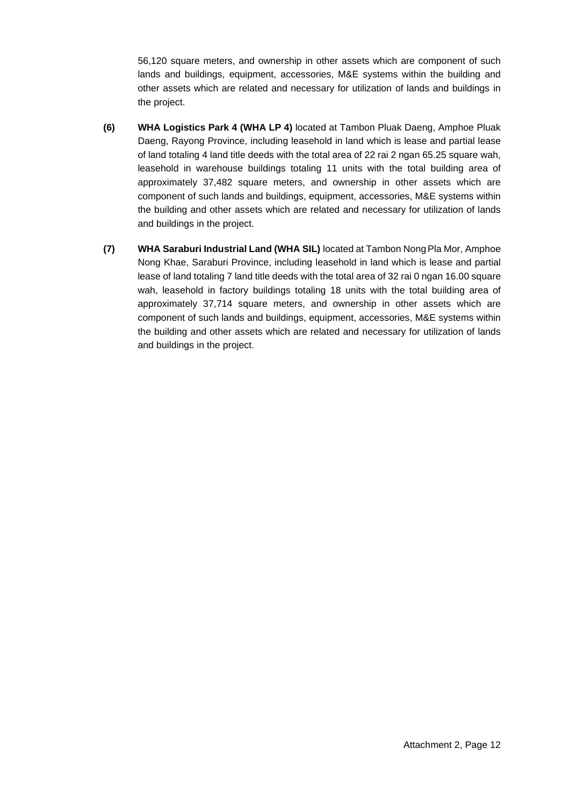56,120 square meters, and ownership in other assets which are component of such lands and buildings, equipment, accessories, M&E systems within the building and other assets which are related and necessary for utilization of lands and buildings in the project.

- **(6) WHA Logistics Park 4 (WHA LP 4)** located at Tambon Pluak Daeng, Amphoe Pluak Daeng, Rayong Province, including leasehold in land which is lease and partial lease of land totaling 4 land title deeds with the total area of 22 rai 2 ngan 65.25 square wah, leasehold in warehouse buildings totaling 11 units with the total building area of approximately 37,482 square meters, and ownership in other assets which are component of such lands and buildings, equipment, accessories, M&E systems within the building and other assets which are related and necessary for utilization of lands and buildings in the project.
- **(7) WHA Saraburi Industrial Land (WHA SIL)** located at Tambon NongPla Mor, Amphoe Nong Khae, Saraburi Province, including leasehold in land which is lease and partial lease of land totaling 7 land title deeds with the total area of 32 rai 0 ngan 16.00 square wah, leasehold in factory buildings totaling 18 units with the total building area of approximately 37,714 square meters, and ownership in other assets which are component of such lands and buildings, equipment, accessories, M&E systems within the building and other assets which are related and necessary for utilization of lands and buildings in the project.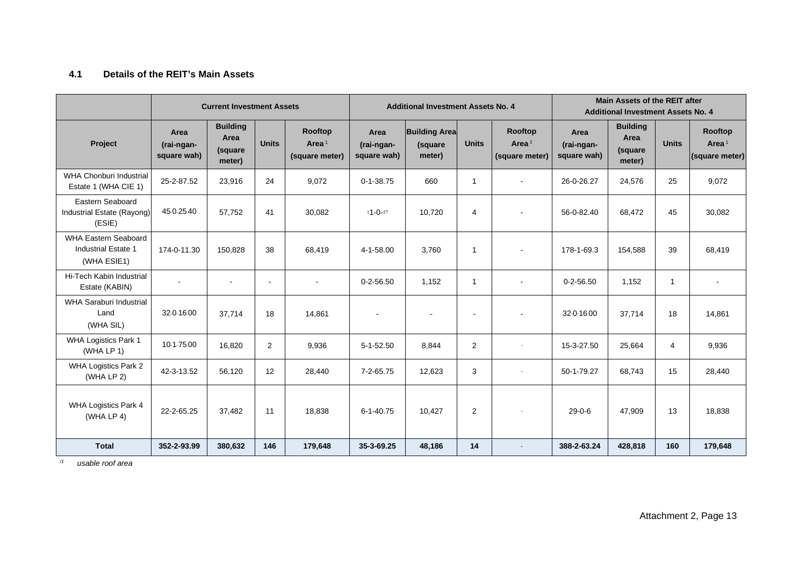# **4.1 Details of the REIT's Main Assets**

|                                                                          | <b>Current Investment Assets</b>  |                                              |              |                                       | <b>Additional Investment Assets No. 4</b> |                                           |                          |                                       | Main Assets of the REIT after<br><b>Additional Investment Assets No. 4</b> |                                              |              |                                       |
|--------------------------------------------------------------------------|-----------------------------------|----------------------------------------------|--------------|---------------------------------------|-------------------------------------------|-------------------------------------------|--------------------------|---------------------------------------|----------------------------------------------------------------------------|----------------------------------------------|--------------|---------------------------------------|
| Project                                                                  | Area<br>(rai-ngan-<br>square wah) | <b>Building</b><br>Area<br>(square<br>meter) | <b>Units</b> | Rooftop<br>Area $1$<br>(square meter) | Area<br>(rai-ngan-<br>square wah)         | <b>Building Area</b><br>(square<br>meter) | <b>Units</b>             | Rooftop<br>Area $1$<br>(square meter) | Area<br>(rai-ngan-<br>square wah)                                          | <b>Building</b><br>Area<br>(square<br>meter) | <b>Units</b> | Rooftop<br>Area $1$<br>(square meter) |
| <b>WHA Chonburi Industrial</b><br>Estate 1 (WHA CIE 1)                   | 25-2-87.52                        | 23,916                                       | 24           | 9,072                                 | $0 - 1 - 38.75$                           | 660                                       | 1                        |                                       | 26-0-26.27                                                                 | 24,576                                       | 25           | 9,072                                 |
| Eastern Seaboard<br>Industrial Estate (Rayong)<br>(ESIE)                 | 45-0-25.40                        | 57,752                                       | 41           | 30,082                                | $11 - 0 - 57$                             | 10,720                                    | $\overline{4}$           | $\blacksquare$                        | 56-0-82.40                                                                 | 68,472                                       | 45           | 30,082                                |
| <b>WHA Eastern Seaboard</b><br><b>Industrial Estate 1</b><br>(WHA ESIE1) | 174-0-11.30                       | 150,828                                      | 38           | 68,419                                | $4 - 1 - 58.00$                           | 3.760                                     | $\mathbf{1}$             |                                       | 178-1-69.3                                                                 | 154,588                                      | 39           | 68,419                                |
| Hi-Tech Kabin Industrial<br>Estate (KABIN)                               |                                   |                                              |              |                                       | $0 - 2 - 56.50$                           | 1,152                                     | $\mathbf{1}$             |                                       | $0 - 2 - 56.50$                                                            | 1,152                                        | $\mathbf{1}$ |                                       |
| <b>WHA Saraburi Industrial</b><br>Land<br>(WHA SIL)                      | 32-0-16.00                        | 37.714                                       | 18           | 14,861                                | $\mathbf{r}$                              |                                           | $\overline{\phantom{a}}$ | $\blacksquare$                        | 32-0-16.00                                                                 | 37,714                                       | 18           | 14,861                                |
| WHA Logistics Park 1<br>(WHA LP 1)                                       | 10-1-75.00                        | 16,820                                       | 2            | 9,936                                 | $5 - 1 - 52.50$                           | 8,844                                     | 2                        |                                       | 15-3-27.50                                                                 | 25,664                                       | 4            | 9,936                                 |
| <b>WHA Logistics Park 2</b><br>(WHA LP 2)                                | 42-3-13.52                        | 56,120                                       | 12           | 28,440                                | $7 - 2 - 65.75$                           | 12,623                                    | 3                        | $\sim$                                | 50-1-79.27                                                                 | 68,743                                       | 15           | 28,440                                |
| <b>WHA Logistics Park 4</b><br>(WHA LP $4$ )                             | 22-2-65.25                        | 37,482                                       | 11           | 18,838                                | $6 - 1 - 40.75$                           | 10,427                                    | 2                        | $\sim$                                | $29 - 0 - 6$                                                               | 47,909                                       | 13           | 18,838                                |
| <b>Total</b>                                                             | 352-2-93.99                       | 380,632                                      | 146          | 179,648                               | 35-3-69.25                                | 48,186                                    | 14                       | $\sim$                                | 388-2-63.24                                                                | 428,818                                      | 160          | 179,648                               |

*/1 usable roof area*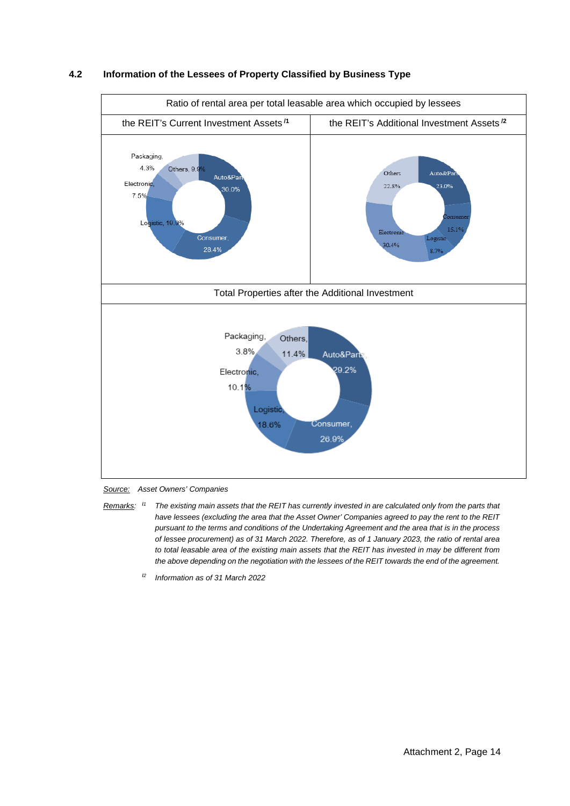

### **4.2 Information of the Lessees of Property Classified by Business Type**



*Remarks:* **/***<sup>1</sup> The existing main assets that the REIT has currently invested in are calculated only from the parts that have lessees (excluding the area that the Asset Owner' Companies agreed to pay the rent to the REIT pursuant to the terms and conditions of the Undertaking Agreement and the area that is in the process of lessee procurement) as of 31 March 2022. Therefore, as of 1 January 2023, the ratio of rental area to total leasable area of the existing main assets that the REIT has invested in may be different from the above depending on the negotiation with the lessees of the REIT towards the end of the agreement.*

**/***<sup>2</sup> Information as of 31 March 2022*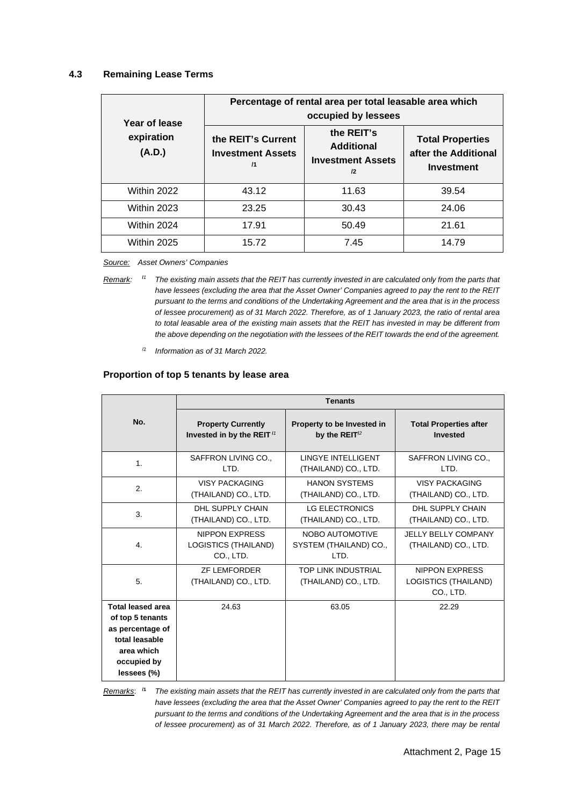### **4.3 Remaining Lease Terms**

| Year of lease        | Percentage of rental area per total leasable area which<br>occupied by lessees |                                                                   |                                                                      |  |  |  |  |
|----------------------|--------------------------------------------------------------------------------|-------------------------------------------------------------------|----------------------------------------------------------------------|--|--|--|--|
| expiration<br>(A.D.) | the REIT's Current<br><b>Investment Assets</b><br>$\overline{11}$              | the REIT's<br><b>Additional</b><br><b>Investment Assets</b><br>12 | <b>Total Properties</b><br>after the Additional<br><b>Investment</b> |  |  |  |  |
| Within 2022          | 43.12                                                                          | 11.63                                                             | 39.54                                                                |  |  |  |  |
| Within 2023          | 23.25                                                                          | 30.43                                                             | 24.06                                                                |  |  |  |  |
| Within 2024          | 17.91                                                                          | 50.49                                                             | 21.61                                                                |  |  |  |  |
| Within 2025          | 15.72                                                                          | 7.45                                                              | 14.79                                                                |  |  |  |  |

*Source: Asset Owners' Companies*

*Remark:* **/***<sup>1</sup> The existing main assets that the REIT has currently invested in are calculated only from the parts that have lessees (excluding the area that the Asset Owner' Companies agreed to pay the rent to the REIT pursuant to the terms and conditions of the Undertaking Agreement and the area that is in the process of lessee procurement) as of 31 March 2022. Therefore, as of 1 January 2023, the ratio of rental area to total leasable area of the existing main assets that the REIT has invested in may be different from the above depending on the negotiation with the lessees of the REIT towards the end of the agreement.*

/2 *Information as of 31 March 2022.* 

### **Proportion of top 5 tenants by lease area**

|                                                                                                                                |                                                            | <b>Tenants</b>                                    |                                                                   |  |
|--------------------------------------------------------------------------------------------------------------------------------|------------------------------------------------------------|---------------------------------------------------|-------------------------------------------------------------------|--|
| No.                                                                                                                            | <b>Property Currently</b>                                  | Property to be Invested in                        | <b>Total Properties after</b>                                     |  |
|                                                                                                                                | Invested in by the REIT $11$                               | by the REIT $1/2$                                 | <b>Invested</b>                                                   |  |
| 1.                                                                                                                             | SAFFRON LIVING CO.,                                        | <b>I INGYE INTELLIGENT</b>                        | SAFFRON LIVING CO.,                                               |  |
|                                                                                                                                | I TD.                                                      | (THAILAND) CO., LTD.                              | I TD.                                                             |  |
| 2.                                                                                                                             | VISY PACKAGING                                             | <b>HANON SYSTEMS</b>                              | <b>VISY PACKAGING</b>                                             |  |
|                                                                                                                                | (THAILAND) CO., LTD.                                       | (THAILAND) CO., LTD.                              | (THAILAND) CO., LTD.                                              |  |
| 3.                                                                                                                             | DHI SUPPI Y CHAIN                                          | <b>LG ELECTRONICS</b>                             | DHI SUPPI Y CHAIN                                                 |  |
|                                                                                                                                | (THAILAND) CO., LTD.                                       | (THAILAND) CO., LTD.                              | (THAILAND) CO., LTD.                                              |  |
| 4.                                                                                                                             | <b>NIPPON EXPRESS</b><br>LOGISTICS (THAILAND)<br>CO., LTD. | NOBO AUTOMOTIVE<br>SYSTEM (THAILAND) CO.,<br>LTD. | <b>JELLY BELLY COMPANY</b><br>(THAILAND) CO., LTD.                |  |
| 5.                                                                                                                             | <b>ZF LEMFORDER</b><br>(THAILAND) CO., LTD.                | TOP LINK INDUSTRIAL<br>(THAILAND) CO., LTD.       | <b>NIPPON EXPRESS</b><br><b>LOGISTICS (THAILAND)</b><br>CO., LTD. |  |
| <b>Total leased area</b><br>of top 5 tenants<br>as percentage of<br>total leasable<br>area which<br>occupied by<br>lessees (%) | 24.63                                                      | 63.05                                             | 22.29                                                             |  |

*Remarks*: **/1** *The existing main assets that the REIT has currently invested in are calculated only from the parts that have lessees (excluding the area that the Asset Owner' Companies agreed to pay the rent to the REIT pursuant to the terms and conditions of the Undertaking Agreement and the area that is in the process of lessee procurement) as of 31 March 2022. Therefore, as of 1 January 2023, there may be rental*